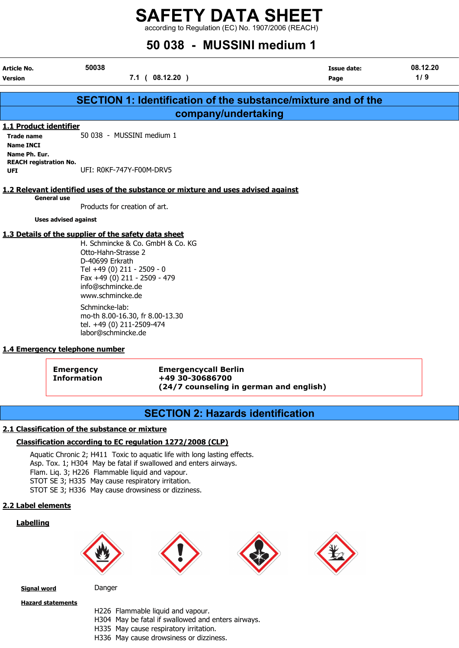according to Regulation (EC) No. 1907/2006 (REACH)

# 50 038 - MUSSINI medium 1

| Article No.<br>Version                                       | 50038<br>7.1(08.12.20)                                                                                                                                                                                                                    | <b>Issue date:</b><br>Page | 08.12.20<br>1/9 |
|--------------------------------------------------------------|-------------------------------------------------------------------------------------------------------------------------------------------------------------------------------------------------------------------------------------------|----------------------------|-----------------|
|                                                              |                                                                                                                                                                                                                                           |                            |                 |
|                                                              | <b>SECTION 1: Identification of the substance/mixture and of the</b>                                                                                                                                                                      |                            |                 |
|                                                              | company/undertaking                                                                                                                                                                                                                       |                            |                 |
| 1.1 Product identifier                                       |                                                                                                                                                                                                                                           |                            |                 |
| <b>Trade name</b>                                            | 50 038 - MUSSINI medium 1                                                                                                                                                                                                                 |                            |                 |
| <b>Name INCI</b>                                             |                                                                                                                                                                                                                                           |                            |                 |
| Name Ph. Eur.<br><b>REACH registration No.</b><br><b>UFI</b> | UFI: ROKF-747Y-F00M-DRV5                                                                                                                                                                                                                  |                            |                 |
|                                                              | 1.2 Relevant identified uses of the substance or mixture and uses advised against                                                                                                                                                         |                            |                 |
| <b>General use</b>                                           | Products for creation of art.                                                                                                                                                                                                             |                            |                 |
| <b>Uses advised against</b>                                  |                                                                                                                                                                                                                                           |                            |                 |
|                                                              | 1.3 Details of the supplier of the safety data sheet<br>H. Schmincke & Co. GmbH & Co. KG<br>Otto-Hahn-Strasse 2<br>D-40699 Erkrath<br>Tel +49 (0) 211 - 2509 - 0<br>Fax +49 (0) 211 - 2509 - 479<br>info@schmincke.de<br>www.schmincke.de |                            |                 |

Schmincke-lab: mo-th 8.00-16.30, fr 8.00-13.30 tel. +49 (0) 211-2509-474 labor@schmincke.de

#### 1.4 Emergency telephone number

Emergency Emergencycall Berlin Information +49 30-30686700 (24/7 counseling in german and english)

## SECTION 2: Hazards identification

#### 2.1 Classification of the substance or mixture

#### Classification according to EC regulation 1272/2008 (CLP)

Aquatic Chronic 2; H411 Toxic to aquatic life with long lasting effects. Asp. Tox. 1; H304 May be fatal if swallowed and enters airways. Flam. Liq. 3; H226 Flammable liquid and vapour. STOT SE 3; H335 May cause respiratory irritation. STOT SE 3; H336 May cause drowsiness or dizziness.

#### 2.2 Label elements

#### Labelling









Signal word Danger

Hazard statements

- 
- H226 Flammable liquid and vapour.
- H304 May be fatal if swallowed and enters airways.
- H335 May cause respiratory irritation.
- H336 May cause drowsiness or dizziness.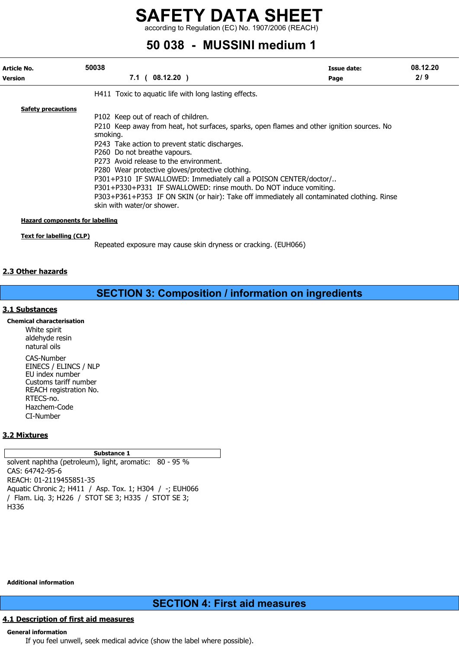according to Regulation (EC) No. 1907/2006 (REACH)

# 50 038 - MUSSINI medium 1

| Article No.<br><b>Version</b>                                       | 50038<br>$7.1$ ( 08.12.20 )                                                                                                                                                                                                                                                                                                                                                                                                                                                                                                                                                                        | Issue date:<br>Page | 08.12.20<br>2/9 |
|---------------------------------------------------------------------|----------------------------------------------------------------------------------------------------------------------------------------------------------------------------------------------------------------------------------------------------------------------------------------------------------------------------------------------------------------------------------------------------------------------------------------------------------------------------------------------------------------------------------------------------------------------------------------------------|---------------------|-----------------|
|                                                                     | H411 Toxic to aguatic life with long lasting effects.                                                                                                                                                                                                                                                                                                                                                                                                                                                                                                                                              |                     |                 |
| <b>Safety precautions</b><br><b>Hazard components for labelling</b> | P102 Keep out of reach of children.<br>P210 Keep away from heat, hot surfaces, sparks, open flames and other ignition sources. No<br>smoking.<br>P243 Take action to prevent static discharges.<br>P260 Do not breathe vapours.<br>P273 Avoid release to the environment.<br>P280 Wear protective gloves/protective clothing.<br>P301+P310 IF SWALLOWED: Immediately call a POISON CENTER/doctor/<br>P301+P330+P331 IF SWALLOWED: rinse mouth. Do NOT induce vomiting.<br>P303+P361+P353 IF ON SKIN (or hair): Take off immediately all contaminated clothing. Rinse<br>skin with water/or shower. |                     |                 |

Text for labelling (CLP)

Repeated exposure may cause skin dryness or cracking. (EUH066)

#### 2.3 Other hazards

## SECTION 3: Composition / information on ingredients

#### 3.1 Substances

Chemical characterisation White spirit aldehyde resin natural oils CAS-Number EINECS / ELINCS / NLP EU index number Customs tariff number REACH registration No. RTECS-no. Hazchem-Code CI-Number

#### 3.2 Mixtures

Substance 1

solvent naphtha (petroleum), light, aromatic: 80 - 95 % CAS: 64742-95-6 REACH: 01-2119455851-35 Aquatic Chronic 2; H411 / Asp. Tox. 1; H304 / -; EUH066 / Flam. Liq. 3; H226 / STOT SE 3; H335 / STOT SE 3; H336

Additional information

### SECTION 4: First aid measures

#### 4.1 Description of first aid measures

#### General information

If you feel unwell, seek medical advice (show the label where possible).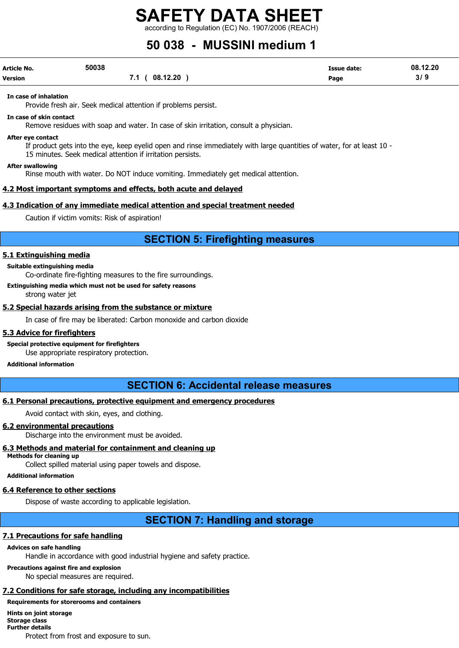according to Regulation (EC) No. 1907/2006 (REACH)

# 50 038 - MUSSINI medium 1

| <b>Article No.</b> | 50038 |                   | <b>Issue date:</b> | 08.12.20 |
|--------------------|-------|-------------------|--------------------|----------|
| Version            |       | (08.12.20)<br>7.1 | Page               | 319      |

In case of inhalation

Provide fresh air. Seek medical attention if problems persist.

In case of skin contact

Remove residues with soap and water. In case of skin irritation, consult a physician.

After eye contact

If product gets into the eye, keep eyelid open and rinse immediately with large quantities of water, for at least 10 - 15 minutes. Seek medical attention if irritation persists.

#### After swallowing

Rinse mouth with water. Do NOT induce vomiting. Immediately get medical attention.

#### 4.2 Most important symptoms and effects, both acute and delayed

#### 4.3 Indication of any immediate medical attention and special treatment needed

Caution if victim vomits: Risk of aspiration!

### SECTION 5: Firefighting measures

#### 5.1 Extinguishing media

Suitable extinguishing media

Co-ordinate fire-fighting measures to the fire surroundings.

Extinguishing media which must not be used for safety reasons

strong water jet

#### 5.2 Special hazards arising from the substance or mixture

In case of fire may be liberated: Carbon monoxide and carbon dioxide

#### 5.3 Advice for firefighters

#### Special protective equipment for firefighters

Use appropriate respiratory protection.

#### Additional information

### SECTION 6: Accidental release measures

#### 6.1 Personal precautions, protective equipment and emergency procedures

Avoid contact with skin, eyes, and clothing.

#### 6.2 environmental precautions

Discharge into the environment must be avoided.

#### 6.3 Methods and material for containment and cleaning up

Methods for cleaning up Collect spilled material using paper towels and dispose.

Additional information

#### 6.4 Reference to other sections

Dispose of waste according to applicable legislation.

### SECTION 7: Handling and storage

#### 7.1 Precautions for safe handling

#### Advices on safe handling

Handle in accordance with good industrial hygiene and safety practice.

Precautions against fire and explosion

No special measures are required.

#### 7.2 Conditions for safe storage, including any incompatibilities

Requirements for storerooms and containers Hints on joint storage Storage class Further details Protect from frost and exposure to sun.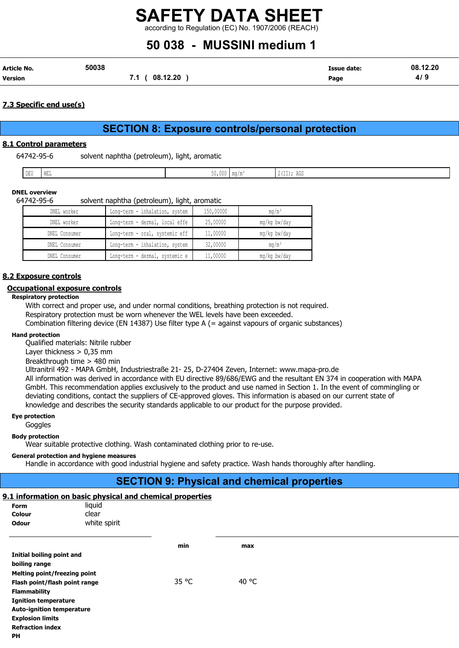according to Regulation (EC) No. 1907/2006 (REACH)

# 50 038 - MUSSINI medium 1

| Article No.    | 50038 |                 | Issue date: | 08.12.20  |
|----------------|-------|-----------------|-------------|-----------|
| <b>Version</b> |       | 08.12.20<br>7.1 | Page        | 4/ $\,$ 5 |

#### 7.3 Specific end use(s)

# SECTION 8: Exposure controls/personal protection

#### 8.1 Control parameters

| 64742-95-6 | solvent naphtha (petroleum), light, aromatic |  |  |
|------------|----------------------------------------------|--|--|
|            |                                              |  |  |

| nntt.<br>.<br>∪ טע ן<br>and the contract of the con- | <b>I</b> MET<br>- VV 111 111 | <b>VIVVV</b> | l ma/m· | $\mathbf{z}$<br>$1 - 1$<br>  4 (II); AGD |
|------------------------------------------------------|------------------------------|--------------|---------|------------------------------------------|

#### DNEL overview

#### 64742-95-6 solvent naphtha (petroleum), light, aromatic

| DNEL worker   | Long-term - inhalation, system | 150,00000 | $mq/m^3$     |
|---------------|--------------------------------|-----------|--------------|
| DNEL worker   | Long-term - dermal, local effe | 25,00000  | mg/kg bw/day |
| DNEL Consumer | Long-term - oral, systemic eff | 11,00000  | mg/kg bw/day |
| DNEL Consumer | Long-term - inhalation, system | 32,00000  | $mq/m^3$     |
| DNEL Consumer | Long-term - dermal, systemic e | 11,00000  | mg/kg bw/day |

#### 8.2 Exposure controls

#### Occupational exposure controls

#### Respiratory protection

With correct and proper use, and under normal conditions, breathing protection is not required. Respiratory protection must be worn whenever the WEL levels have been exceeded. Combination filtering device (EN 14387) Use filter type A (= against vapours of organic substances)

#### Hand protection

Qualified materials: Nitrile rubber

Layer thickness > 0,35 mm

Breakthrough time > 480 min

Ultranitril 492 - MAPA GmbH, Industriestraße 21- 25, D-27404 Zeven, Internet: www.mapa-pro.de

All information was derived in accordance with EU directive 89/686/EWG and the resultant EN 374 in cooperation with MAPA GmbH. This recommendation applies exclusively to the product and use named in Section 1. In the event of commingling or deviating conditions, contact the suppliers of CE-approved gloves. This information is abased on our current state of knowledge and describes the security standards applicable to our product for the purpose provided.

#### Eye protection

Goggles

#### Body protection

Wear suitable protective clothing. Wash contaminated clothing prior to re-use.

#### General protection and hygiene measures

Handle in accordance with good industrial hygiene and safety practice. Wash hands thoroughly after handling.

### SECTION 9: Physical and chemical properties

#### 9.1 information on basic physical and chemical properties

| <b>Form</b>  | liquid       |
|--------------|--------------|
| Colour       | clear        |
| <b>Odour</b> | white spirit |

|                                  | min   | max   |
|----------------------------------|-------|-------|
| Initial boiling point and        |       |       |
| boiling range                    |       |       |
| Melting point/freezing point     |       |       |
| Flash point/flash point range    | 35 °C | 40 °C |
| <b>Flammability</b>              |       |       |
| <b>Ignition temperature</b>      |       |       |
| <b>Auto-ignition temperature</b> |       |       |
| <b>Explosion limits</b>          |       |       |
| <b>Refraction index</b>          |       |       |

PH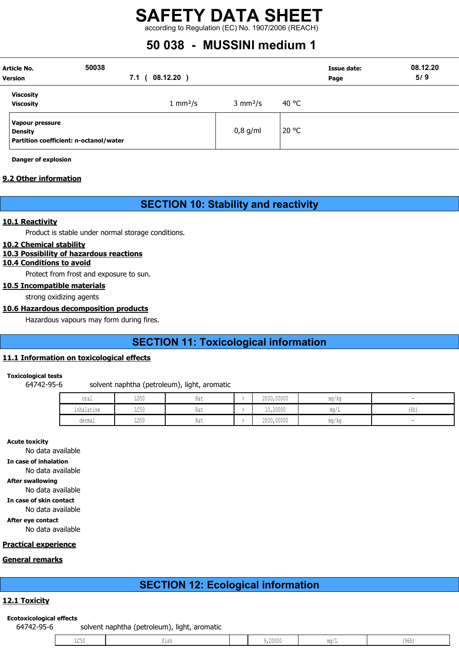according to Regulation (EC) No. 1907/2006 (REACH)

# 50 038 - MUSSINI medium 1

| Article No.<br><b>Version</b>                                               | 50038<br>7.1 | 08.12.20)                 |                           | Page  | Issue date: | 08.12.20<br>5/9 |
|-----------------------------------------------------------------------------|--------------|---------------------------|---------------------------|-------|-------------|-----------------|
| Viscosity<br><b>Viscosity</b>                                               |              | $1 \text{ mm}^2/\text{s}$ | $3 \text{ mm}^2/\text{s}$ | 40 °C |             |                 |
| Vapour pressure<br><b>Density</b><br>Partition coefficient: n-octanol/water |              |                           | $0,8$ g/ml                | 20 °C |             |                 |

Danger of explosion

#### 9.2 Other information

## SECTION 10: Stability and reactivity

#### 10.1 Reactivity

Product is stable under normal storage conditions.

#### 10.2 Chemical stability

#### 10.3 Possibility of hazardous reactions

#### 10.4 Conditions to avoid

Protect from frost and exposure to sun.

#### 10.5 Incompatible materials

strong oxidizing agents

#### 10.6 Hazardous decomposition products

Hazardous vapours may form during fires.

## SECTION 11: Toxicological information

#### 11.1 Information on toxicological effects

#### Toxicological tests

64742-95-6 solvent naphtha (petroleum), light, aromatic

| oral                          | LD50 | Rat | 2000,00000 | mg/kg |      |
|-------------------------------|------|-----|------------|-------|------|
| .<br>inhalatiw≏<br>THIRTACIAE | LC50 | Rat | 10,20000   | ma/   | (4h, |
| dermal                        | LD50 | Rat | 2000,00000 | ma/ka |      |

Acute toxicity

No data available In case of inhalation No data available After swallowing No data available In case of skin contact No data available After eye contact No data available

#### Practical experience

#### General remarks

## SECTION 12: Ecological information

#### 12.1 Toxicity

#### Ecotoxicological effects

64742-95-6 solvent naphtha (petroleum), light, aromatic

| ,20000<br>(96h)<br>للان ششا<br>∸∽∽∽ |
|-------------------------------------|
|-------------------------------------|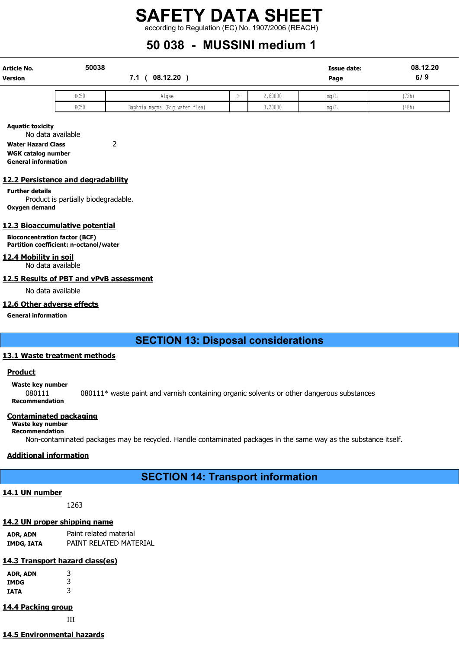# SAFETY DATA SHEET according to Regulation (EC) No. 1907/2006 (REACH)

# 50 038 - MUSSINI medium 1

| <b>Article No.</b><br><b>Version</b> | 50038 | 08.12.20<br>7.1                |  |         | <b>Issue date:</b><br>Page | 08.12.20<br>6/9 |
|--------------------------------------|-------|--------------------------------|--|---------|----------------------------|-----------------|
|                                      | EC50  | Algae                          |  | 2,60000 | mq/L                       | (72h)           |
|                                      | EC50  | Daphnia magna (Big water flea) |  | 3,20000 | mq/L                       | (48h)           |

Aquatic toxicity No data available Water Hazard Class 2

WGK catalog number General information

#### 12.2 Persistence and degradability

#### Further details

Product is partially biodegradable. Oxygen demand

#### 12.3 Bioaccumulative potential

Bioconcentration factor (BCF) Partition coefficient: n-octanol/water

#### 12.4 Mobility in soil

No data available

#### 12.5 Results of PBT and vPvB assessment

No data available

#### 12.6 Other adverse effects

General information

## SECTION 13: Disposal considerations

#### 13.1 Waste treatment methods

#### **Product**

#### Waste key number

080111 080111\* waste paint and varnish containing organic solvents or other dangerous substances Recommendation

#### Contaminated packaging

Waste key number Recommendation

Non-contaminated packages may be recycled. Handle contaminated packages in the same way as the substance itself.

#### Additional information

## SECTION 14: Transport information

#### 14.1 UN number

1263

#### 14.2 UN proper shipping name

ADR, ADN Paint related material IMDG, IATA PAINT RELATED MATERIAL

#### 14.3 Transport hazard class(es)

| ADR, ADN<br>IMDG | 3<br>3 |
|------------------|--------|
| IATA             | 3      |
|                  |        |

#### 14.4 Packing group

III

### 14.5 Environmental hazards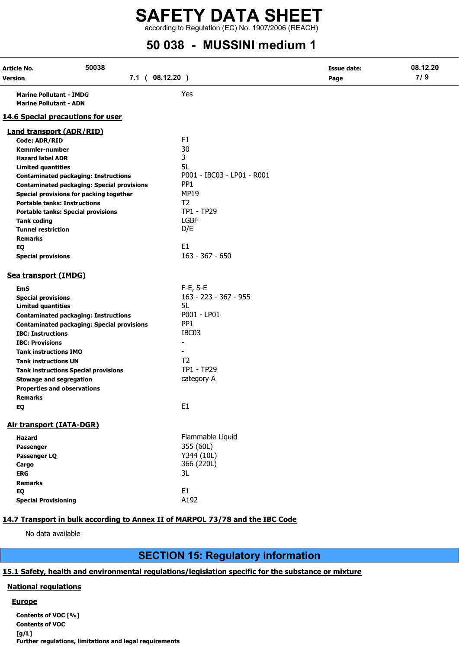# SAFETY DATA SHEET according to Regulation (EC) No. 1907/2006 (REACH)

# 50 038 - MUSSINI medium 1

| Article No.<br>Version                                          | 50038<br>7.1 ( 08.12.20 )                         |                            | Issue date:<br>Page | 08.12.20<br>7/9 |
|-----------------------------------------------------------------|---------------------------------------------------|----------------------------|---------------------|-----------------|
| <b>Marine Pollutant - IMDG</b><br><b>Marine Pollutant - ADN</b> |                                                   | Yes                        |                     |                 |
| <b>14.6 Special precautions for user</b>                        |                                                   |                            |                     |                 |
| <b>Land transport (ADR/RID)</b>                                 |                                                   |                            |                     |                 |
| Code: ADR/RID                                                   |                                                   | F <sub>1</sub>             |                     |                 |
| <b>Kemmler-number</b>                                           |                                                   | 30                         |                     |                 |
| <b>Hazard label ADR</b>                                         |                                                   | 3                          |                     |                 |
| <b>Limited quantities</b>                                       |                                                   | 5L                         |                     |                 |
|                                                                 | <b>Contaminated packaging: Instructions</b>       | P001 - IBC03 - LP01 - R001 |                     |                 |
|                                                                 | <b>Contaminated packaging: Special provisions</b> | PP <sub>1</sub>            |                     |                 |
|                                                                 | Special provisions for packing together           | <b>MP19</b>                |                     |                 |
| <b>Portable tanks: Instructions</b>                             |                                                   | T <sub>2</sub>             |                     |                 |
|                                                                 | <b>Portable tanks: Special provisions</b>         | TP1 - TP29                 |                     |                 |
| <b>Tank coding</b>                                              |                                                   | <b>LGBF</b>                |                     |                 |
| <b>Tunnel restriction</b>                                       |                                                   | D/E                        |                     |                 |
| <b>Remarks</b>                                                  |                                                   |                            |                     |                 |
| EQ                                                              |                                                   | E1                         |                     |                 |
| <b>Special provisions</b>                                       |                                                   | $163 - 367 - 650$          |                     |                 |
| Sea transport (IMDG)                                            |                                                   |                            |                     |                 |
| <b>EmS</b>                                                      |                                                   | $F-E$ , S-E                |                     |                 |
| <b>Special provisions</b>                                       |                                                   | 163 - 223 - 367 - 955      |                     |                 |
| <b>Limited quantities</b>                                       |                                                   | 5L                         |                     |                 |
|                                                                 | <b>Contaminated packaging: Instructions</b>       | P001 - LP01                |                     |                 |
|                                                                 | <b>Contaminated packaging: Special provisions</b> | PP <sub>1</sub>            |                     |                 |
| <b>IBC: Instructions</b>                                        |                                                   | IBC03                      |                     |                 |
| <b>IBC: Provisions</b>                                          |                                                   |                            |                     |                 |
| <b>Tank instructions IMO</b>                                    |                                                   |                            |                     |                 |
| <b>Tank instructions UN</b>                                     |                                                   | T <sub>2</sub>             |                     |                 |
|                                                                 | <b>Tank instructions Special provisions</b>       | TP1 - TP29                 |                     |                 |
| <b>Stowage and segregation</b>                                  |                                                   | category A                 |                     |                 |
| <b>Properties and observations</b>                              |                                                   |                            |                     |                 |
| <b>Remarks</b>                                                  |                                                   |                            |                     |                 |
| EQ                                                              |                                                   | E1                         |                     |                 |
| Air transport (IATA-DGR)                                        |                                                   |                            |                     |                 |
| Hazard                                                          |                                                   | Flammable Liquid           |                     |                 |
| Passenger                                                       |                                                   | 355 (60L)                  |                     |                 |
| Passenger LQ                                                    |                                                   | Y344 (10L)                 |                     |                 |
| Cargo                                                           |                                                   | 366 (220L)                 |                     |                 |
| <b>ERG</b>                                                      |                                                   | 3L                         |                     |                 |
| <b>Remarks</b>                                                  |                                                   |                            |                     |                 |
| EQ                                                              |                                                   | E1                         |                     |                 |
| <b>Special Provisioning</b>                                     |                                                   | A192                       |                     |                 |
|                                                                 |                                                   |                            |                     |                 |

#### 14.7 Transport in bulk according to Annex II of MARPOL 73/78 and the IBC Code

No data available

# SECTION 15: Regulatory information

#### 15.1 Safety, health and environmental regulations/legislation specific for the substance or mixture

#### National regulations

#### **Europe**

Contents of VOC [%] Contents of VOC [g/L] Further regulations, limitations and legal requirements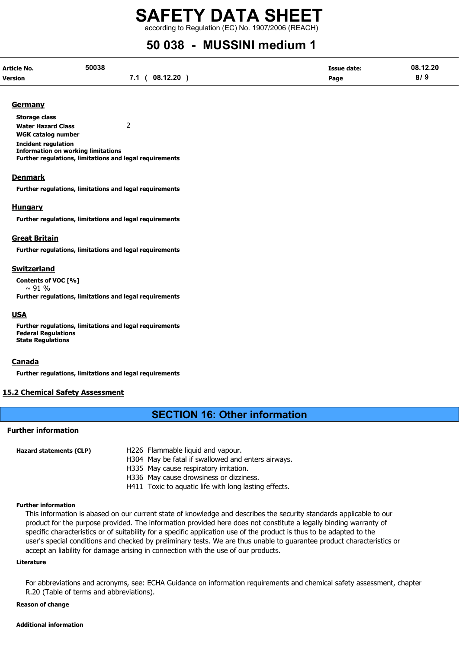according to Regulation (EC) No. 1907/2006 (REACH)

# 50 038 - MUSSINI medium 1

| Article No.    | 50038 |                   | <b>Issue date:</b> | 08.12.20 |
|----------------|-------|-------------------|--------------------|----------|
| <b>Version</b> |       | (08.12.20)<br>7.1 | Page               | 8/9      |

#### **Germany**

Storage class Water Hazard Class 2 WGK catalog number Incident regulation Information on working limitations Further regulations, limitations and legal requirements

#### **Denmark**

Further regulations, limitations and legal requirements

#### **Hungary**

Further regulations, limitations and legal requirements

#### Great Britain

Further regulations, limitations and legal requirements

#### Switzerland

Contents of VOC [%]  $\sim$  91 % Further regulations, limitations and legal requirements

#### **USA**

Further regulations, limitations and legal requirements Federal Regulations State Regulations

#### Canada

Further regulations, limitations and legal requirements

#### 15.2 Chemical Safety Assessment

### SECTION 16: Other information

#### Further information

| Hazard statements (CLP) | H226 Flammable liquid and vapour.                     |
|-------------------------|-------------------------------------------------------|
|                         | H304 May be fatal if swallowed and enters airways.    |
|                         | H335 May cause respiratory irritation.                |
|                         | H336 May cause drowsiness or dizziness.               |
|                         | H411 Toxic to aquatic life with long lasting effects. |

#### Further information

This information is abased on our current state of knowledge and describes the security standards applicable to our product for the purpose provided. The information provided here does not constitute a legally binding warranty of specific characteristics or of suitability for a specific application use of the product is thus to be adapted to the user's special conditions and checked by preliminary tests. We are thus unable to guarantee product characteristics or accept an liability for damage arising in connection with the use of our products.

#### Literature

For abbreviations and acronyms, see: ECHA Guidance on information requirements and chemical safety assessment, chapter R.20 (Table of terms and abbreviations).

#### Reason of change